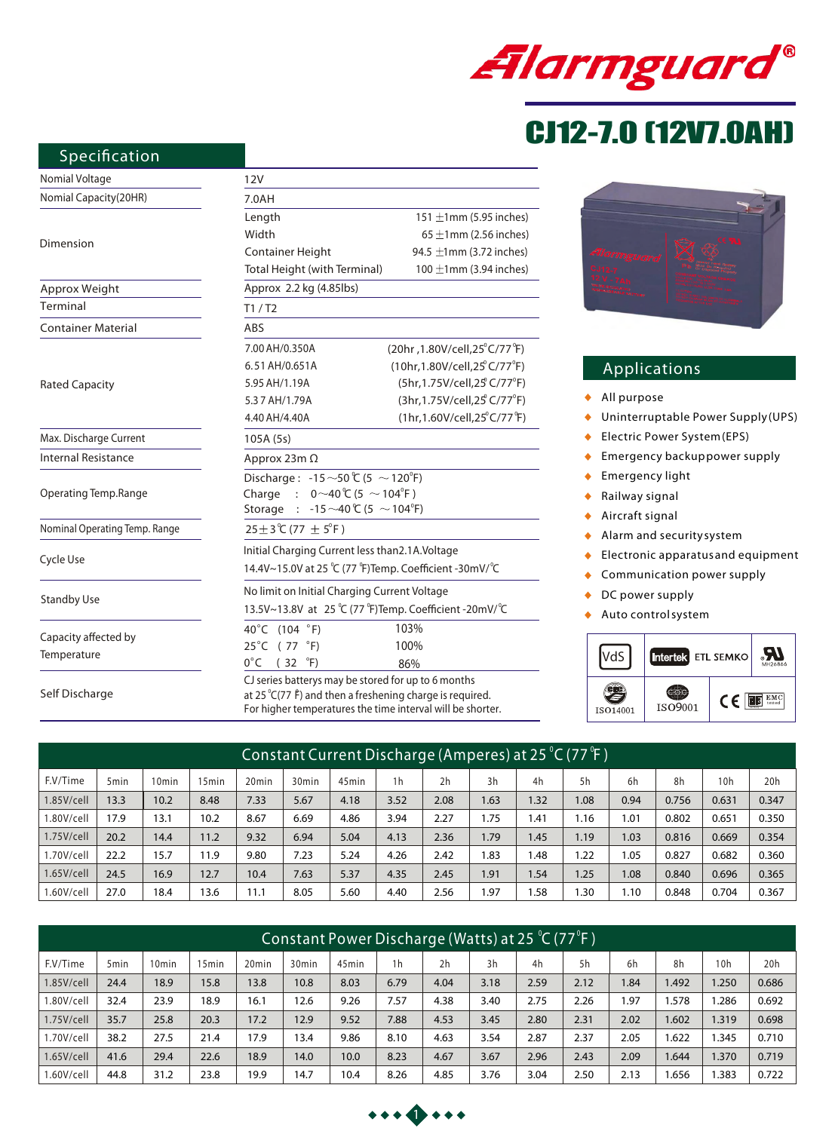

# CJ12-7.0 (12V7.0AH)

# **Specification**

| Nomial Voltage                      | 12V                                                                                                                                                                                     |                                                        |  |  |  |  |  |  |
|-------------------------------------|-----------------------------------------------------------------------------------------------------------------------------------------------------------------------------------------|--------------------------------------------------------|--|--|--|--|--|--|
| Nomial Capacity(20HR)               | 7.0AH                                                                                                                                                                                   |                                                        |  |  |  |  |  |  |
|                                     | Length                                                                                                                                                                                  | 151 $\pm$ 1mm (5.95 inches)                            |  |  |  |  |  |  |
|                                     | Width                                                                                                                                                                                   | $65 \pm 1$ mm (2.56 inches)                            |  |  |  |  |  |  |
| Dimension                           | <b>Container Height</b>                                                                                                                                                                 | 94.5 $\pm$ 1mm (3.72 inches)                           |  |  |  |  |  |  |
|                                     | 100 $\pm$ 1mm (3.94 inches)<br>Total Height (with Terminal)                                                                                                                             |                                                        |  |  |  |  |  |  |
| Approx Weight                       | Approx 2.2 kg (4.85lbs)                                                                                                                                                                 |                                                        |  |  |  |  |  |  |
| Terminal                            | T1/ T2                                                                                                                                                                                  |                                                        |  |  |  |  |  |  |
| <b>Container Material</b>           | ABS                                                                                                                                                                                     |                                                        |  |  |  |  |  |  |
|                                     | 7.00 AH/0.350A                                                                                                                                                                          | (20hr, 1.80V/cell, 25°C/77°F)                          |  |  |  |  |  |  |
|                                     | 6.51 AH/0.651A                                                                                                                                                                          | (10hr, 1.80V/cell, 25°C/77°F)                          |  |  |  |  |  |  |
| <b>Rated Capacity</b>               | 5.95 AH/1.19A                                                                                                                                                                           | (5hr,1.75V/cell,25°C/77°F)                             |  |  |  |  |  |  |
|                                     | 5.37 AH/1.79A                                                                                                                                                                           | (3hr, 1.75V/cell, 25 <sup>°</sup> C/77 <sup>°</sup> F) |  |  |  |  |  |  |
|                                     | 4.40 AH/4.40A                                                                                                                                                                           | $(1hr, 1.60V/cell, 25^{\circ}C/77^{\circ}F)$           |  |  |  |  |  |  |
| Max. Discharge Current              | 105A (5s)                                                                                                                                                                               |                                                        |  |  |  |  |  |  |
| <b>Internal Resistance</b>          | Approx 23m $\Omega$                                                                                                                                                                     |                                                        |  |  |  |  |  |  |
|                                     | Discharge: -15 ~50 ℃ (5 ~ 120°F)                                                                                                                                                        |                                                        |  |  |  |  |  |  |
| Operating Temp.Range                | Charge : $0 \sim 40 \degree$ (5 $\sim$ 104 $\degree$ F)                                                                                                                                 |                                                        |  |  |  |  |  |  |
|                                     | Storage : -15 $\sim$ 40 ℃ (5 $\sim$ 104 °F)                                                                                                                                             |                                                        |  |  |  |  |  |  |
| Nominal Operating Temp. Range       | 25±3℃ (77 ± 5°F)                                                                                                                                                                        |                                                        |  |  |  |  |  |  |
| Cycle Use                           | Initial Charging Current less than 2.1A. Voltage                                                                                                                                        |                                                        |  |  |  |  |  |  |
|                                     | 14.4V~15.0V at 25 ℃ (77 °F)Temp. Coefficient -30mV/°C                                                                                                                                   |                                                        |  |  |  |  |  |  |
|                                     | No limit on Initial Charging Current Voltage                                                                                                                                            |                                                        |  |  |  |  |  |  |
| <b>Standby Use</b>                  | 13.5V~13.8V at 25 ℃ (77 °F)Temp. Coefficient -20mV/ °C                                                                                                                                  |                                                        |  |  |  |  |  |  |
|                                     | 40°C (104 °F)                                                                                                                                                                           | 103%                                                   |  |  |  |  |  |  |
| Capacity affected by<br>Temperature | $25^{\circ}$ C (77 $^{\circ}$ F)                                                                                                                                                        | 100%                                                   |  |  |  |  |  |  |
|                                     | $0^{\circ}$ C (32<br>$\mathrm{P}(\mathsf{F})$                                                                                                                                           | 86%                                                    |  |  |  |  |  |  |
| Self Discharge                      | CJ series batterys may be stored for up to 6 months<br>at 25 $°C(77 \text{ f})$ and then a freshening charge is required.<br>For higher temperatures the time interval will be shorter. |                                                        |  |  |  |  |  |  |



# **Applications**

- *All purpose*
- *Uninterruptable Power Supply(UPS)*  $\blacklozenge$
- *Electric Power System(EPS)*  $\blacklozenge$
- $\bullet$ *Emergency backuppower supply*
- *Emergency light*  $\ddot{\bullet}$
- *Railway signal*  $\ddot{\bullet}$
- *Aircraft signal*  $\ddot{\bullet}$
- *Alarm and securitysystem*  $\bullet$
- *Electronic apparatus and equipment*  $\bullet$
- *Communication power supply*  $\blacklozenge$
- $\blacklozenge$ *DC power supply*
- *Auto controlsystem*  $\ddot{\bullet}$



| Constant Current Discharge (Amperes) at 25 °C (77 °F) |                  |                   |                   |                   |                   |       |                |                |      |      |      |      |       |       |       |
|-------------------------------------------------------|------------------|-------------------|-------------------|-------------------|-------------------|-------|----------------|----------------|------|------|------|------|-------|-------|-------|
| F.V/Time                                              | 5 <sub>min</sub> | 10 <sub>min</sub> | 15 <sub>min</sub> | 20 <sub>min</sub> | 30 <sub>min</sub> | 45min | 1 <sub>h</sub> | 2 <sub>h</sub> | 3h   | 4h   | 5h   | 6h   | 8h    | 10h   | 20h   |
| $1.85$ V/cell                                         | 13.3             | 10.2              | 8.48              | 7.33              | 5.67              | 4.18  | 3.52           | 2.08           | 1.63 | 1.32 | 1.08 | 0.94 | 0.756 | 0.631 | 0.347 |
| 1.80V/cell                                            | 17.9             | 13.1              | 10.2              | 8.67              | 6.69              | 4.86  | 3.94           | 2.27           | 1.75 | .41  | 1.16 | 1.01 | 0.802 | 0.651 | 0.350 |
| $1.75$ V/cell                                         | 20.2             | 14.4              | 11.2              | 9.32              | 6.94              | 5.04  | 4.13           | 2.36           | 1.79 | .45  | 1.19 | 1.03 | 0.816 | 0.669 | 0.354 |
| 1.70V/cell                                            | 22.2             | 15.7              | 11.9              | 9.80              | 7.23              | 5.24  | 4.26           | 2.42           | 1.83 | .48  | 1.22 | 1.05 | 0.827 | 0.682 | 0.360 |
| $1.65$ V/cell                                         | 24.5             | 16.9              | 12.7              | 10.4              | 7.63              | 5.37  | 4.35           | 2.45           | 1.91 | .54  | 1.25 | 1.08 | 0.840 | 0.696 | 0.365 |
| 1.60V/cell                                            | 27.0             | 18.4              | 13.6              | 11.1              | 8.05              | 5.60  | 4.40           | 2.56           | 1.97 | .58  | .30  | 1.10 | 0.848 | 0.704 | 0.367 |

| Constant Power Discharge (Watts) at 25 °C (77°F )' |                  |                   |                   |                   |                   |                   |                |                |      |      |      |      |       |       |       |
|----------------------------------------------------|------------------|-------------------|-------------------|-------------------|-------------------|-------------------|----------------|----------------|------|------|------|------|-------|-------|-------|
| F.V/Time                                           | 5 <sub>min</sub> | 10 <sub>min</sub> | 15 <sub>min</sub> | 20 <sub>min</sub> | 30 <sub>min</sub> | 45 <sub>min</sub> | 1 <sub>h</sub> | 2 <sub>h</sub> | 3h   | 4h   | 5h   | 6h   | 8h    | 10h   | 20h   |
| $1.85$ V/cell                                      | 24.4             | 18.9              | 15.8              | 13.8              | 10.8              | 8.03              | 6.79           | 4.04           | 3.18 | 2.59 | 2.12 | 1.84 | 1.492 | 1.250 | 0.686 |
| .80V/cell                                          | 32.4             | 23.9              | 18.9              | 16.1              | 12.6              | 9.26              | 7.57           | 4.38           | 3.40 | 2.75 | 2.26 | 1.97 | 1.578 | .286  | 0.692 |
| $1.75$ V/cell                                      | 35.7             | 25.8              | 20.3              | 17.2              | 12.9              | 9.52              | 7.88           | 4.53           | 3.45 | 2.80 | 2.31 | 2.02 | 1.602 | 1.319 | 0.698 |
| 1.70V/cell                                         | 38.2             | 27.5              | 21.4              | 17.9              | 13.4              | 9.86              | 8.10           | 4.63           | 3.54 | 2.87 | 2.37 | 2.05 | 1.622 | 1.345 | 0.710 |
| $1.65$ V/cell                                      | 41.6             | 29.4              | 22.6              | 18.9              | 14.0              | 10.0              | 8.23           | 4.67           | 3.67 | 2.96 | 2.43 | 2.09 | 1.644 | 1.370 | 0.719 |
| .60V/cell                                          | 44.8             | 31.2              | 23.8              | 19.9              | 14.7              | 10.4              | 8.26           | 4.85           | 3.76 | 3.04 | 2.50 | 2.13 | 1.656 | .383  | 0.722 |